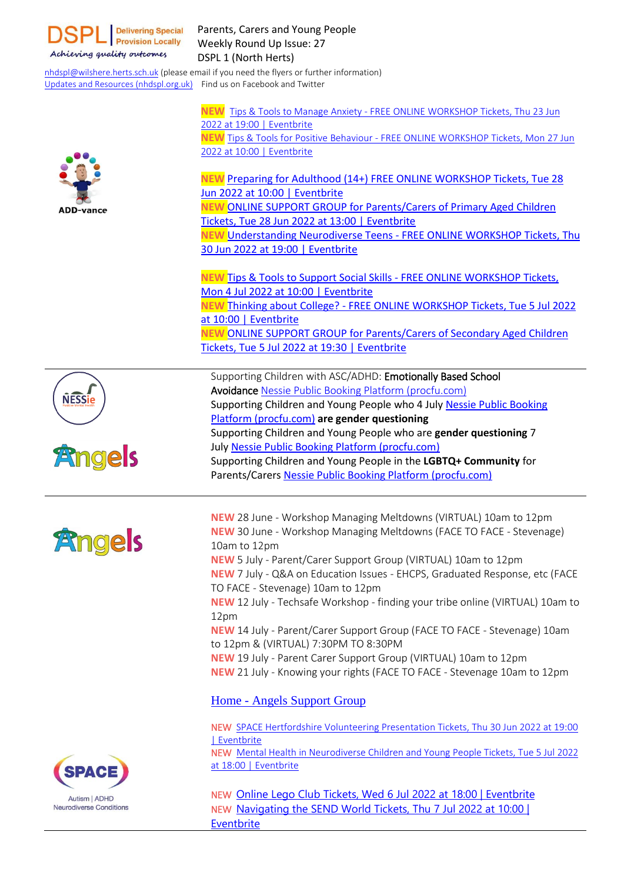

Parents, Carers and Young People Weekly Round Up Issue: 27 DSPL 1 (North Herts)

[nhdspl@wilshere.herts.sch.uk](mailto:nhdspl@wilshere.herts.sch.uk) (please email if you need the flyers or further information) Updates and Resources [\(nhdspl.org.uk\)](https://nhdspl.org.uk/) Find us on Facebook and Twitter

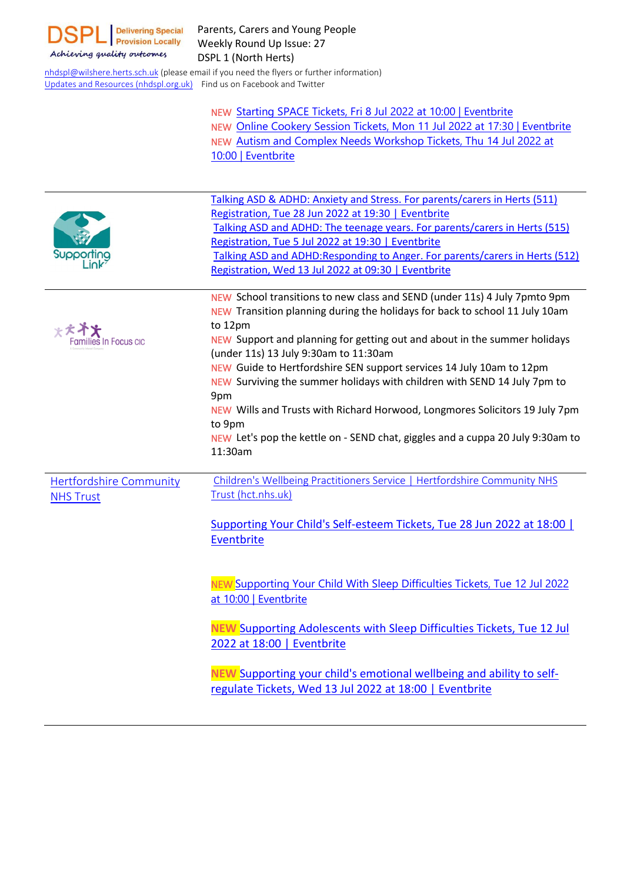

[nhdspl@wilshere.herts.sch.uk](mailto:nhdspl@wilshere.herts.sch.uk) (please email if you need the flyers or further information) Updates and Resources [\(nhdspl.org.uk\)](https://nhdspl.org.uk/) Find us on Facebook and Twitter

> NEW Starting SPACE Tickets, Fri 8 Jul 2022 at 10:00 | [Eventbrite](https://www.eventbrite.co.uk/e/starting-space-tickets-368141028727?aff=ebdsoporgprofile) NEW Online Cookery Session Tickets, Mon 11 Jul 2022 at 17:30 | [Eventbrite](https://www.eventbrite.co.uk/e/online-cookery-session-tickets-366649657997?aff=ebdsoporgprofile) NEW Autism and Complex Needs [Workshop](https://www.eventbrite.co.uk/e/autism-and-complex-needs-workshop-tickets-299543581917?aff=ebdsoporgprofile) Tickets, Thu 14 Jul 2022 at 10:00 | [Eventbrite](https://www.eventbrite.co.uk/e/autism-and-complex-needs-workshop-tickets-299543581917?aff=ebdsoporgprofile)

|                                | Talking ASD & ADHD: Anxiety and Stress. For parents/carers in Herts (511)                                                       |
|--------------------------------|---------------------------------------------------------------------------------------------------------------------------------|
|                                | Registration, Tue 28 Jun 2022 at 19:30   Eventbrite                                                                             |
|                                | Talking ASD and ADHD: The teenage years. For parents/carers in Herts (515)                                                      |
|                                | Registration, Tue 5 Jul 2022 at 19:30   Eventbrite                                                                              |
| Supporting                     | Talking ASD and ADHD: Responding to Anger. For parents/carers in Herts (512)                                                    |
|                                | Registration, Wed 13 Jul 2022 at 09:30   Eventbrite                                                                             |
|                                |                                                                                                                                 |
|                                | NEW School transitions to new class and SEND (under 11s) 4 July 7pmto 9pm                                                       |
|                                | NEW Transition planning during the holidays for back to school 11 July 10am                                                     |
| <b>****</b>                    | to 12pm                                                                                                                         |
| Families In Focus cıc          | NEW Support and planning for getting out and about in the summer holidays<br>(under 11s) 13 July 9:30am to 11:30am              |
|                                | NEW Guide to Hertfordshire SEN support services 14 July 10am to 12pm                                                            |
|                                | NEW Surviving the summer holidays with children with SEND 14 July 7pm to                                                        |
|                                | 9pm                                                                                                                             |
|                                | NEW Wills and Trusts with Richard Horwood, Longmores Solicitors 19 July 7pm                                                     |
|                                | to 9pm                                                                                                                          |
|                                | NEW Let's pop the kettle on - SEND chat, giggles and a cuppa 20 July 9:30am to                                                  |
|                                |                                                                                                                                 |
|                                | 11:30am                                                                                                                         |
|                                |                                                                                                                                 |
| <b>Hertfordshire Community</b> | Children's Wellbeing Practitioners Service   Hertfordshire Community NHS                                                        |
| <b>NHS Trust</b>               | Trust (hct.nhs.uk)                                                                                                              |
|                                |                                                                                                                                 |
|                                | Supporting Your Child's Self-esteem Tickets, Tue 28 Jun 2022 at 18:00                                                           |
|                                | Eventbrite                                                                                                                      |
|                                |                                                                                                                                 |
|                                |                                                                                                                                 |
|                                | NEW Supporting Your Child With Sleep Difficulties Tickets, Tue 12 Jul 2022                                                      |
|                                | at 10:00   Eventbrite                                                                                                           |
|                                |                                                                                                                                 |
|                                | <b>NEW Supporting Adolescents with Sleep Difficulties Tickets, Tue 12 Jul</b>                                                   |
|                                | 2022 at 18:00   Eventbrite                                                                                                      |
|                                |                                                                                                                                 |
|                                | NEW Supporting your child's emotional wellbeing and ability to self-<br>regulate Tickets, Wed 13 Jul 2022 at 18:00   Eventbrite |